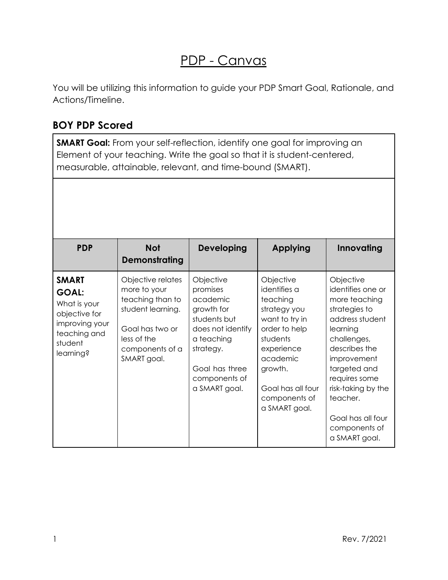## PDP - Canvas

You will be utilizing this information to guide your PDP Smart Goal, Rationale, and Actions/Timeline.

## **BOY PDP Scored**

**SMART Goal:** From your self-reflection, identify one goal for improving an Element of your teaching. Write the goal so that it is student-centered, measurable, attainable, relevant, and time-bound (SMART).

| <b>PDP</b>                                                                                                              | <b>Not</b><br><b>Demonstrating</b>                                                                                                             | <b>Developing</b>                                                                                                                                                   | Applying                                                                                                                                                                                         | Innovating                                                                                                                                                                                                                                                               |
|-------------------------------------------------------------------------------------------------------------------------|------------------------------------------------------------------------------------------------------------------------------------------------|---------------------------------------------------------------------------------------------------------------------------------------------------------------------|--------------------------------------------------------------------------------------------------------------------------------------------------------------------------------------------------|--------------------------------------------------------------------------------------------------------------------------------------------------------------------------------------------------------------------------------------------------------------------------|
| <b>SMART</b><br><b>GOAL:</b><br>What is your<br>objective for<br>improving your<br>teaching and<br>student<br>learning? | Objective relates<br>more to your<br>teaching than to<br>student learning.<br>Goal has two or<br>less of the<br>components of a<br>SMART goal. | Objective<br>promises<br>academic<br>growth for<br>students but<br>does not identify<br>a teaching<br>strategy.<br>Goal has three<br>components of<br>a SMART goal. | Objective<br>identifies a<br>teaching<br>strategy you<br>want to try in<br>order to help<br>students<br>experience<br>academic<br>growth.<br>Goal has all four<br>components of<br>a SMART goal. | Objective<br>identifies one or<br>more teaching<br>strategies to<br>address student<br>learning<br>challenges,<br>describes the<br>improvement<br>targeted and<br>requires some<br>risk-taking by the<br>teacher.<br>Goal has all four<br>components of<br>a SMART goal. |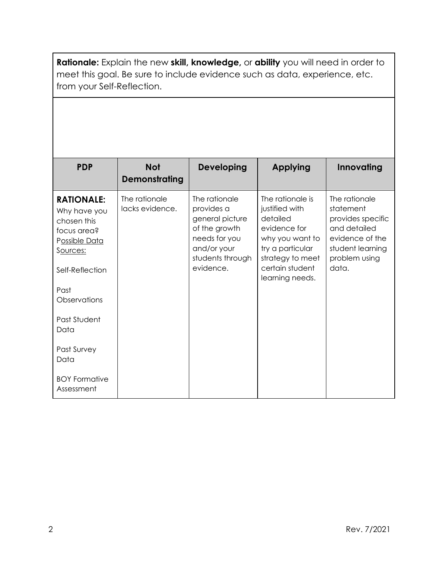**Rationale:** Explain the new **skill, knowledge,** or **ability** you will need in order to meet this goal. Be sure to include evidence such as data, experience, etc. from your Self-Reflection.

| <b>PDP</b>                                                                                                                              | <b>Not</b><br>Demonstrating      | <b>Developing</b>                                                                                                                | Applying                                                                                                                                                        | Innovating                                                                                                                       |
|-----------------------------------------------------------------------------------------------------------------------------------------|----------------------------------|----------------------------------------------------------------------------------------------------------------------------------|-----------------------------------------------------------------------------------------------------------------------------------------------------------------|----------------------------------------------------------------------------------------------------------------------------------|
| <b>RATIONALE:</b><br>Why have you<br>chosen this<br>focus area?<br>Possible Data<br>Sources:<br>Self-Reflection<br>Past<br>Observations | The rationale<br>lacks evidence. | The rationale<br>provides a<br>general picture<br>of the growth<br>needs for you<br>and/or your<br>students through<br>evidence. | The rationale is<br>justified with<br>detailed<br>evidence for<br>why you want to<br>try a particular<br>strategy to meet<br>certain student<br>learning needs. | The rationale<br>statement<br>provides specific<br>and detailed<br>evidence of the<br>student learning<br>problem using<br>data. |
| Past Student<br>Data                                                                                                                    |                                  |                                                                                                                                  |                                                                                                                                                                 |                                                                                                                                  |
| Past Survey<br>Data                                                                                                                     |                                  |                                                                                                                                  |                                                                                                                                                                 |                                                                                                                                  |
| <b>BOY Formative</b><br>Assessment                                                                                                      |                                  |                                                                                                                                  |                                                                                                                                                                 |                                                                                                                                  |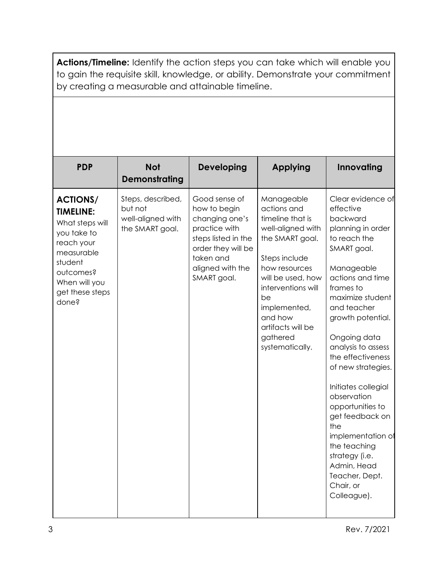**Actions/Timeline:** Identify the action steps you can take which will enable you to gain the requisite skill, knowledge, or ability. Demonstrate your commitment by creating a measurable and attainable timeline.

| <b>PDP</b>                                                                                                                                                             | <b>Not</b><br><b>Demonstrating</b>                                   | <b>Developing</b>                                                                                                                                             | <b>Applying</b>                                                                                                                                                                                                                                         | Innovating                                                                                                                                                                                                                                                                                                                                                                                                                                                                                     |
|------------------------------------------------------------------------------------------------------------------------------------------------------------------------|----------------------------------------------------------------------|---------------------------------------------------------------------------------------------------------------------------------------------------------------|---------------------------------------------------------------------------------------------------------------------------------------------------------------------------------------------------------------------------------------------------------|------------------------------------------------------------------------------------------------------------------------------------------------------------------------------------------------------------------------------------------------------------------------------------------------------------------------------------------------------------------------------------------------------------------------------------------------------------------------------------------------|
| <b>ACTIONS/</b><br><b>TIMELINE:</b><br>What steps will<br>you take to<br>reach your<br>measurable<br>student<br>outcomes?<br>When will you<br>get these steps<br>done? | Steps, described,<br>but not<br>well-aligned with<br>the SMART goal. | Good sense of<br>how to begin<br>changing one's<br>practice with<br>steps listed in the<br>order they will be<br>taken and<br>aligned with the<br>SMART goal. | Manageable<br>actions and<br>timeline that is<br>well-aligned with<br>the SMART goal.<br>Steps include<br>how resources<br>will be used, how<br>interventions will<br>be<br>implemented,<br>and how<br>artifacts will be<br>gathered<br>systematically. | Clear evidence of<br>effective<br>backward<br>planning in order<br>to reach the<br>SMART goal.<br>Manageable<br>actions and time<br>frames to<br>maximize student<br>and teacher<br>growth potential.<br>Ongoing data<br>analysis to assess<br>the effectiveness<br>of new strategies.<br>Initiates collegial<br>observation<br>opportunities to<br>get feedback on<br>the<br>implementation of<br>the teaching<br>strategy (i.e.<br>Admin, Head<br>Teacher, Dept.<br>Chair, or<br>Colleague). |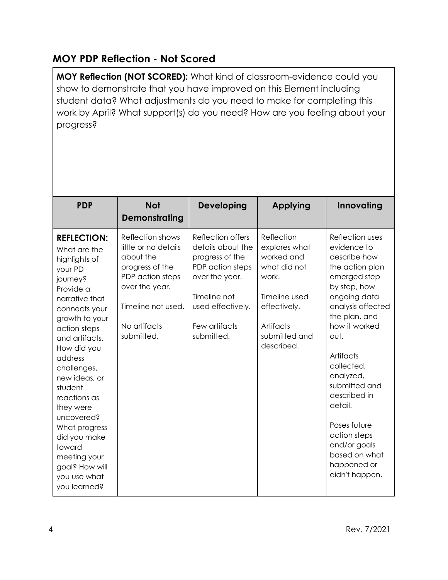## **MOY PDP Reflection - Not Scored**

**MOY Reflection (NOT SCORED):** What kind of classroom-evidence could you show to demonstrate that you have improved on this Element including student data? What adjustments do you need to make for completing this work by April? What support(s) do you need? How are you feeling about your progress?

| <b>PDP</b>                                                                                                                                                                                                                                                                                                                                                                                                  | <b>Not</b><br>Demonstrating                                                                                                                                        | <b>Developing</b>                                                                                                                                                   | <b>Applying</b>                                                                                                                                 | Innovating                                                                                                                                                                                                                                                                                                                                                             |
|-------------------------------------------------------------------------------------------------------------------------------------------------------------------------------------------------------------------------------------------------------------------------------------------------------------------------------------------------------------------------------------------------------------|--------------------------------------------------------------------------------------------------------------------------------------------------------------------|---------------------------------------------------------------------------------------------------------------------------------------------------------------------|-------------------------------------------------------------------------------------------------------------------------------------------------|------------------------------------------------------------------------------------------------------------------------------------------------------------------------------------------------------------------------------------------------------------------------------------------------------------------------------------------------------------------------|
| <b>REFLECTION:</b><br>What are the<br>highlights of<br>your PD<br>journey?<br>Provide a<br>narrative that<br>connects your<br>growth to your<br>action steps<br>and artifacts.<br>How did you<br>address<br>challenges,<br>new ideas, or<br>student<br>reactions as<br>they were<br>uncovered?<br>What progress<br>did you make<br>toward<br>meeting your<br>goal? How will<br>you use what<br>you learned? | Reflection shows<br>little or no details<br>about the<br>progress of the<br>PDP action steps<br>over the year.<br>Timeline not used.<br>No artifacts<br>submitted. | Reflection offers<br>details about the<br>progress of the<br>PDP action steps<br>over the year.<br>Timeline not<br>used effectively.<br>Few artifacts<br>submitted. | Reflection<br>explores what<br>worked and<br>what did not<br>work.<br>Timeline used<br>effectively.<br>Artifacts<br>submitted and<br>described. | Reflection uses<br>evidence to<br>describe how<br>the action plan<br>emerged step<br>by step, how<br>ongoing data<br>analysis affected<br>the plan, and<br>how it worked<br>out.<br>Artifacts<br>collected,<br>analyzed,<br>submitted and<br>described in<br>detail.<br>Poses future<br>action steps<br>and/or goals<br>based on what<br>happened or<br>didn't happen. |